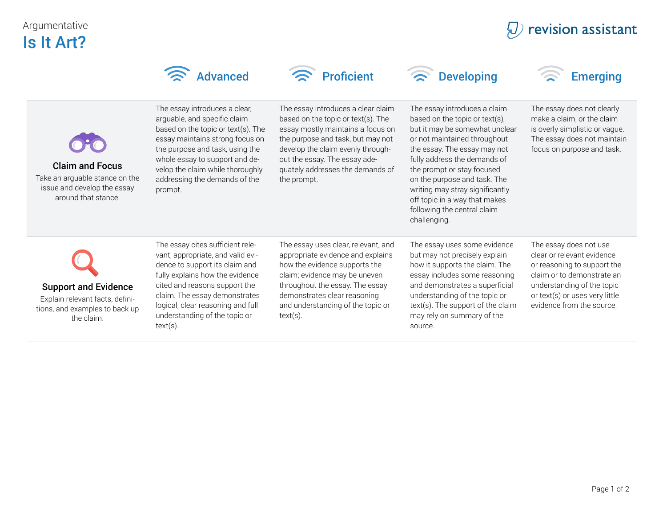## Argumentative Is It Art?

|                                                                                                                | <b>Advanced</b>                                                                                                                                                                                                                                                                                   | <b>Proficient</b>                                                                                                                                                                                                                                                           | <b>Developing</b>                                                                                                                                                                                                                                                                                                                                                                 | <b>Emerging</b>                                                                                                                                                                                                |
|----------------------------------------------------------------------------------------------------------------|---------------------------------------------------------------------------------------------------------------------------------------------------------------------------------------------------------------------------------------------------------------------------------------------------|-----------------------------------------------------------------------------------------------------------------------------------------------------------------------------------------------------------------------------------------------------------------------------|-----------------------------------------------------------------------------------------------------------------------------------------------------------------------------------------------------------------------------------------------------------------------------------------------------------------------------------------------------------------------------------|----------------------------------------------------------------------------------------------------------------------------------------------------------------------------------------------------------------|
| <b>Claim and Focus</b><br>Take an arguable stance on the<br>issue and develop the essay<br>around that stance. | The essay introduces a clear,<br>arguable, and specific claim<br>based on the topic or text(s). The<br>essay maintains strong focus on<br>the purpose and task, using the<br>whole essay to support and de-<br>velop the claim while thoroughly<br>addressing the demands of the<br>prompt.       | The essay introduces a clear claim<br>based on the topic or text(s). The<br>essay mostly maintains a focus on<br>the purpose and task, but may not<br>develop the claim evenly through-<br>out the essay. The essay ade-<br>quately addresses the demands of<br>the prompt. | The essay introduces a claim<br>based on the topic or text(s),<br>but it may be somewhat unclear<br>or not maintained throughout<br>the essay. The essay may not<br>fully address the demands of<br>the prompt or stay focused<br>on the purpose and task. The<br>writing may stray significantly<br>off topic in a way that makes<br>following the central claim<br>challenging. | The essay does not clearly<br>make a claim, or the claim<br>is overly simplistic or vague.<br>The essay does not maintain<br>focus on purpose and task.                                                        |
| <b>Support and Evidence</b><br>Explain relevant facts, defini-<br>tions, and examples to back up<br>the claim. | The essay cites sufficient rele-<br>vant, appropriate, and valid evi-<br>dence to support its claim and<br>fully explains how the evidence<br>cited and reasons support the<br>claim. The essay demonstrates<br>logical, clear reasoning and full<br>understanding of the topic or<br>$text(s)$ . | The essay uses clear, relevant, and<br>appropriate evidence and explains<br>how the evidence supports the<br>claim; evidence may be uneven<br>throughout the essay. The essay<br>demonstrates clear reasoning<br>and understanding of the topic or<br>$text(s)$ .           | The essay uses some evidence<br>but may not precisely explain<br>how it supports the claim. The<br>essay includes some reasoning<br>and demonstrates a superficial<br>understanding of the topic or<br>text(s). The support of the claim<br>may rely on summary of the<br>source.                                                                                                 | The essay does not use<br>clear or relevant evidence<br>or reasoning to support the<br>claim or to demonstrate an<br>understanding of the topic<br>or text(s) or uses very little<br>evidence from the source. |